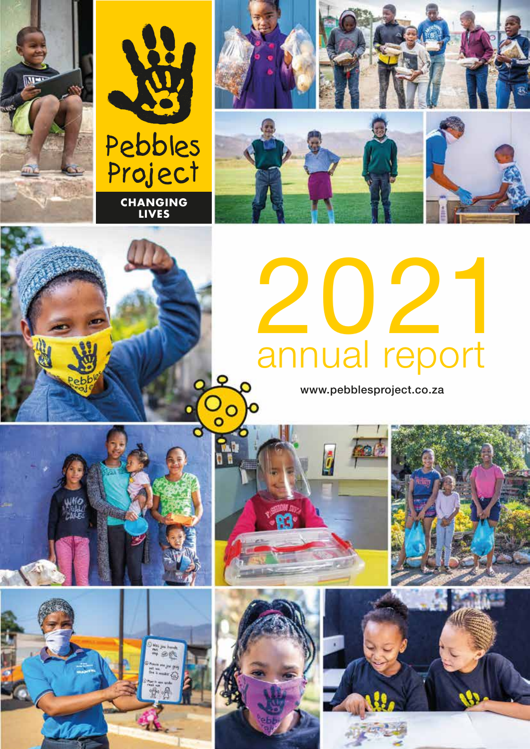



**LIVES**



# 2021 annual report

www.pebblesproject.co.za





Coo

**AR** 

ହ

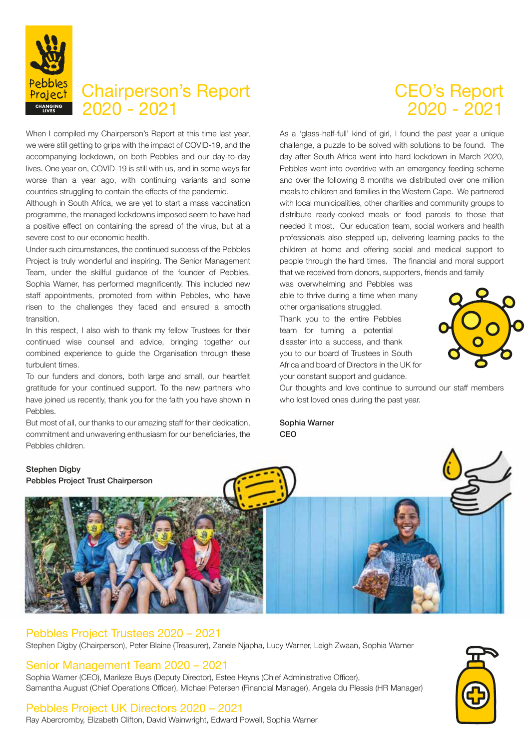

# Chairperson's Report 2020 - 2021 **CHANGING**

When I compiled my Chairperson's Report at this time last year, we were still getting to grips with the impact of COVID-19, and the accompanying lockdown, on both Pebbles and our day-to-day lives. One year on, COVID-19 is still with us, and in some ways far worse than a year ago, with continuing variants and some countries struggling to contain the effects of the pandemic.

Although in South Africa, we are yet to start a mass vaccination programme, the managed lockdowns imposed seem to have had a positive effect on containing the spread of the virus, but at a severe cost to our economic health.

Under such circumstances, the continued success of the Pebbles Project is truly wonderful and inspiring. The Senior Management Team, under the skillful guidance of the founder of Pebbles, Sophia Warner, has performed magnificently. This included new staff appointments, promoted from within Pebbles, who have risen to the challenges they faced and ensured a smooth transition.

In this respect, I also wish to thank my fellow Trustees for their continued wise counsel and advice, bringing together our combined experience to guide the Organisation through these turbulent times.

To our funders and donors, both large and small, our heartfelt gratitude for your continued support. To the new partners who have joined us recently, thank you for the faith you have shown in Pebbles.

But most of all, our thanks to our amazing staff for their dedication, commitment and unwavering enthusiasm for our beneficiaries, the Pebbles children.

# CEO's Report 2020 - 2021

As a 'glass-half-full' kind of girl, I found the past year a unique challenge, a puzzle to be solved with solutions to be found. The day after South Africa went into hard lockdown in March 2020, Pebbles went into overdrive with an emergency feeding scheme and over the following 8 months we distributed over one million meals to children and families in the Western Cape. We partnered with local municipalities, other charities and community groups to distribute ready-cooked meals or food parcels to those that needed it most. Our education team, social workers and health professionals also stepped up, delivering learning packs to the children at home and offering social and medical support to people through the hard times. The financial and moral support that we received from donors, supporters, friends and family

was overwhelming and Pebbles was able to thrive during a time when many other organisations struggled.

Thank you to the entire Pebbles team for turning a potential disaster into a success, and thank you to our board of Trustees in South Africa and board of Directors in the UK for your constant support and guidance.



Our thoughts and love continue to surround our staff members who lost loved ones during the past year.

Sophia Warner **CEO** 



#### Pebbles Project Trustees 2020 – 2021

Stephen Digby (Chairperson), Peter Blaine (Treasurer), Zanele Njapha, Lucy Warner, Leigh Zwaan, Sophia Warner

#### Senior Management Team 2020 – 2021

Sophia Warner (CEO), Marileze Buys (Deputy Director), Estee Heyns (Chief Administrative Officer), Samantha August (Chief Operations Officer), Michael Petersen (Financial Manager), Angela du Plessis (HR Manager)

#### Pebbles Project UK Directors 2020 – 2021

Ray Abercromby, Elizabeth Clifton, David Wainwright, Edward Powell, Sophia Warner

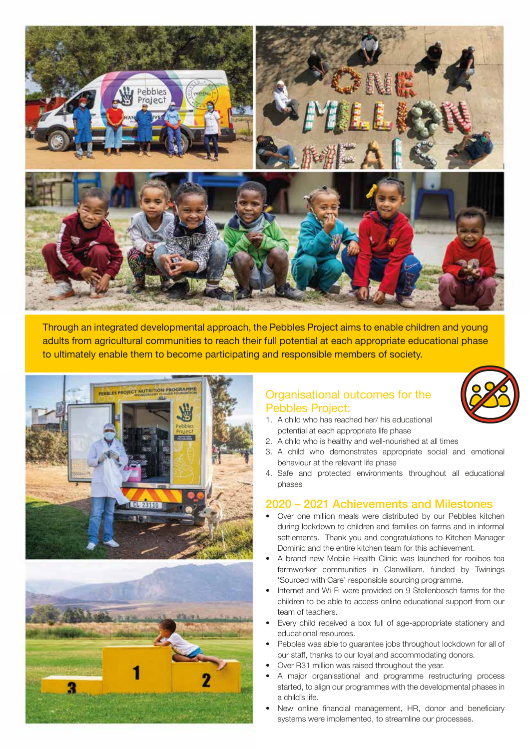

Through an integrated developmental approach, the Pebbles Project aims to enable children and young adults from agricultural communities to reach their full potential at each appropriate educational phase to ultimately enable them to become participating and responsible members of society.





#### Organisational outcomes for the Pebbles Project:



- 1. A child who has reached her/ his educational potential at each appropriate life phase
- 2. A child who is healthy and well-nourished at all times
- 3. A child who demonstrates appropriate social and emotional behaviour at the relevant life phase
- 4. Safe and protected environments throughout all educational phases

#### 2020 – 2021 Achievements and Milestones

- Over one million meals were distributed by our Pebbles kitchen during lockdown to children and families on farms and in informal settlements. Thank you and congratulations to Kitchen Manager Dominic and the entire kitchen team for this achievement.
- A brand new Mobile Health Clinic was launched for rooibos tea farmworker communities in Clanwilliam, funded by Twinings 'Sourced with Care' responsible sourcing programme.
- Internet and Wi-Fi were provided on 9 Stellenbosch farms for the children to be able to access online educational support from our team of teachers.
- Every child received a box full of age-appropriate stationery and educational resources.
- Pebbles was able to guarantee jobs throughout lockdown for all of our staff, thanks to our loyal and accommodating donors.
- Over R31 million was raised throughout the year.
- A major organisational and programme restructuring process started, to align our programmes with the developmental phases in a child's life.
- New online financial management, HR, donor and beneficiary systems were implemented, to streamline our processes.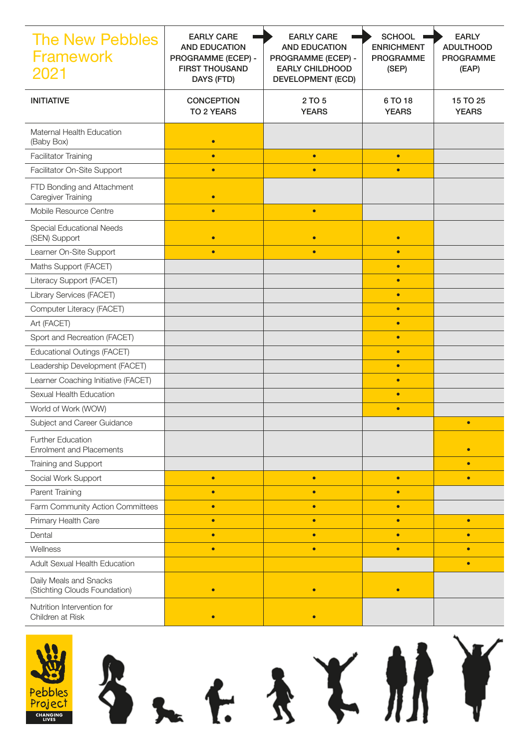| <b>The New Pebbles</b><br><b>Framework</b><br>2021          | <b>EARLY CARE</b><br><b>AND EDUCATION</b><br>PROGRAMME (ECEP) -<br><b>FIRST THOUSAND</b><br>DAYS (FTD) | <b>EARLY CARE</b><br><b>AND EDUCATION</b><br>PROGRAMME (ECEP) -<br><b>EARLY CHILDHOOD</b><br><b>DEVELOPMENT (ECD)</b> | <b>SCHOOL</b><br><b>ENRICHMENT</b><br><b>PROGRAMME</b><br>(SEP) | <b>EARLY</b><br><b>ADULTHOOD</b><br><b>PROGRAMME</b><br>(EAP) |
|-------------------------------------------------------------|--------------------------------------------------------------------------------------------------------|-----------------------------------------------------------------------------------------------------------------------|-----------------------------------------------------------------|---------------------------------------------------------------|
| <b>INITIATIVE</b>                                           | <b>CONCEPTION</b><br><b>TO 2 YEARS</b>                                                                 | 2 TO 5<br><b>YEARS</b>                                                                                                | 6 TO 18<br><b>YEARS</b>                                         | 15 TO 25<br><b>YEARS</b>                                      |
| Maternal Health Education<br>(Baby Box)                     | $\bullet$                                                                                              |                                                                                                                       |                                                                 |                                                               |
| <b>Facilitator Training</b>                                 | $\bullet$                                                                                              | $\bullet$                                                                                                             | $\bullet$                                                       |                                                               |
| Facilitator On-Site Support                                 | $\bullet$                                                                                              | $\bullet$                                                                                                             | $\bullet$                                                       |                                                               |
| FTD Bonding and Attachment<br>Caregiver Training            | $\bullet$                                                                                              |                                                                                                                       |                                                                 |                                                               |
| Mobile Resource Centre                                      | $\bullet$                                                                                              | $\bullet$                                                                                                             |                                                                 |                                                               |
| Special Educational Needs<br>(SEN) Support                  | $\bullet$                                                                                              | $\bullet$                                                                                                             | $\bullet$                                                       |                                                               |
| Learner On-Site Support                                     | $\bullet$                                                                                              | $\bullet$                                                                                                             | $\bullet$                                                       |                                                               |
| Maths Support (FACET)                                       |                                                                                                        |                                                                                                                       | $\bullet$                                                       |                                                               |
| Literacy Support (FACET)                                    |                                                                                                        |                                                                                                                       | $\bullet$                                                       |                                                               |
| Library Services (FACET)                                    |                                                                                                        |                                                                                                                       | $\bullet$                                                       |                                                               |
| Computer Literacy (FACET)                                   |                                                                                                        |                                                                                                                       | $\bullet$                                                       |                                                               |
| Art (FACET)                                                 |                                                                                                        |                                                                                                                       | $\bullet$                                                       |                                                               |
| Sport and Recreation (FACET)                                |                                                                                                        |                                                                                                                       | $\bullet$                                                       |                                                               |
| Educational Outings (FACET)                                 |                                                                                                        |                                                                                                                       | $\bullet$                                                       |                                                               |
| Leadership Development (FACET)                              |                                                                                                        |                                                                                                                       | $\bullet$                                                       |                                                               |
| Learner Coaching Initiative (FACET)                         |                                                                                                        |                                                                                                                       | $\bullet$                                                       |                                                               |
| Sexual Health Education                                     |                                                                                                        |                                                                                                                       | $\bullet$                                                       |                                                               |
| World of Work (WOW)                                         |                                                                                                        |                                                                                                                       | $\bullet$                                                       |                                                               |
| Subject and Career Guidance                                 |                                                                                                        |                                                                                                                       |                                                                 |                                                               |
| <b>Further Education</b><br><b>Enrolment and Placements</b> |                                                                                                        |                                                                                                                       |                                                                 | $\bullet$                                                     |
| Training and Support                                        |                                                                                                        |                                                                                                                       |                                                                 | $\bullet$                                                     |
| Social Work Support                                         | $\bullet$                                                                                              | $\bullet$                                                                                                             | $\bullet$                                                       | $\bullet$                                                     |
| Parent Training                                             | $\bullet$                                                                                              | $\bullet$                                                                                                             | $\bullet$                                                       |                                                               |
| Farm Community Action Committees                            | $\bullet$                                                                                              | $\bullet$                                                                                                             | $\bullet$                                                       |                                                               |
| Primary Health Care                                         | $\bullet$                                                                                              | $\bullet$                                                                                                             | $\bullet$                                                       | $\bullet$                                                     |
| Dental                                                      | $\bullet$                                                                                              | $\bullet$                                                                                                             | $\bullet$                                                       | $\bullet$                                                     |
| Wellness                                                    | $\bullet$                                                                                              | $\bullet$                                                                                                             | $\bullet$                                                       | $\bullet$                                                     |
| Adult Sexual Health Education                               |                                                                                                        |                                                                                                                       |                                                                 | $\bullet$                                                     |
| Daily Meals and Snacks<br>(Stichting Clouds Foundation)     | $\bullet$                                                                                              | $\bullet$                                                                                                             | $\bullet$                                                       |                                                               |
| Nutrition Intervention for<br>Children at Risk              | $\bullet$                                                                                              | $\bullet$                                                                                                             |                                                                 |                                                               |

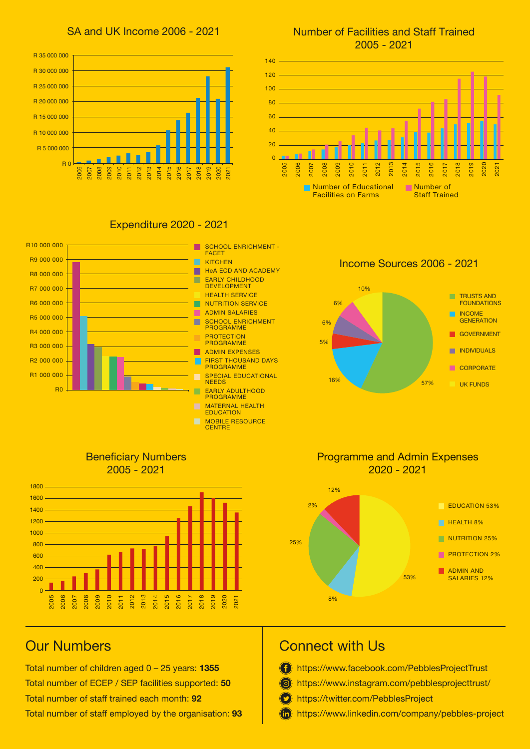



#### Number of Facilities and Staff Trained 2005 - 2021



#### Expenditure 2020 - 2021



Income Sources 2006 - 2021







#### Programme and Admin Expenses 2020 - 2021



## Our Numbers

Total number of children aged 0 – 25 years: **1355** Total number of ECEP / SEP facilities supported: **50** Total number of staff trained each month: **92** Total number of staff employed by the organisation: **93**

## Connect with Us

- **f** https://www.facebook.com/PebblesProjectTrust
- https://www.instagram.com/pebblesprojecttrust/
- **D** https://twitter.com/PebblesProject
- https://www.linkedin.com/company/pebbles-project